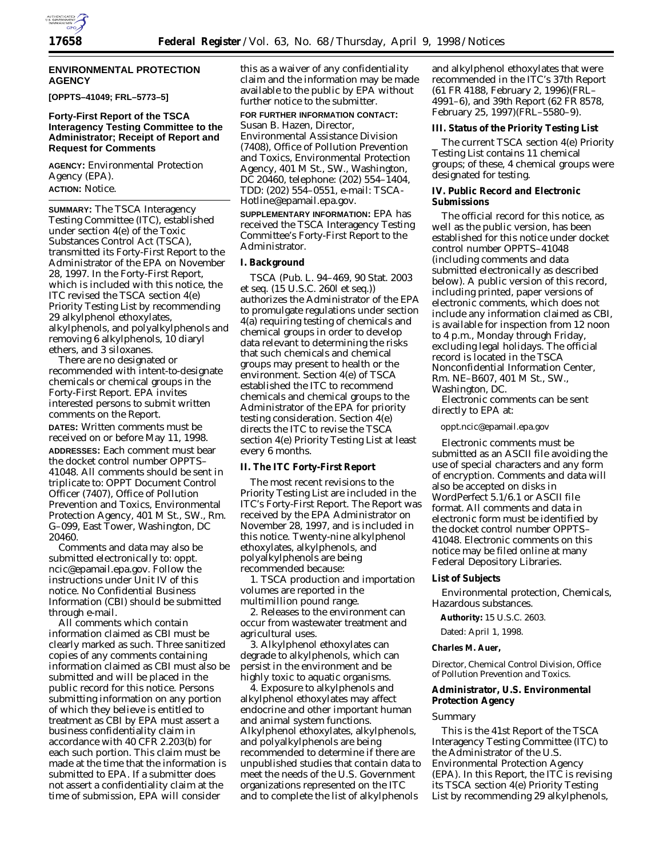

## **ENVIRONMENTAL PROTECTION AGENCY**

**[OPPTS–41049; FRL–5773–5]**

## **Forty-First Report of the TSCA Interagency Testing Committee to the Administrator; Receipt of Report and Request for Comments**

**AGENCY:** Environmental Protection Agency (EPA). **ACTION:** Notice.

**SUMMARY:** The TSCA Interagency Testing Committee (ITC), established under section 4(e) of the Toxic Substances Control Act (TSCA), transmitted its Forty-First Report to the Administrator of the EPA on November 28, 1997. In the Forty-First Report, which is included with this notice, the ITC revised the TSCA section 4(e) *Priority Testing List* by recommending 29 alkylphenol ethoxylates, alkylphenols, and polyalkylphenols and removing 6 alkylphenols, 10 diaryl ethers, and 3 siloxanes.

There are no designated or recommended with intent-to-designate chemicals or chemical groups in the Forty-First Report. EPA invites interested persons to submit written comments on the Report.

**DATES:** Written comments must be received on or before May 11, 1998. **ADDRESSES:** Each comment must bear the docket control number OPPTS– 41048. All comments should be sent in triplicate to: OPPT Document Control Officer (7407), Office of Pollution Prevention and Toxics, Environmental Protection Agency, 401 M St., SW., Rm. G–099, East Tower, Washington, DC 20460.

Comments and data may also be submitted electronically to: oppt. ncic@epamail.epa.gov. Follow the instructions under Unit IV of this notice. No Confidential Business Information (CBI) should be submitted through e-mail.

All comments which contain information claimed as CBI must be clearly marked as such. Three sanitized copies of any comments containing information claimed as CBI must also be submitted and will be placed in the public record for this notice. Persons submitting information on any portion of which they believe is entitled to treatment as CBI by EPA must assert a business confidentiality claim in accordance with 40 CFR 2.203(b) for each such portion. This claim must be made at the time that the information is submitted to EPA. If a submitter does not assert a confidentiality claim at the time of submission, EPA will consider

this as a waiver of any confidentiality claim and the information may be made available to the public by EPA without further notice to the submitter.

**FOR FURTHER INFORMATION CONTACT:** Susan B. Hazen, Director, Environmental Assistance Division (7408), Office of Pollution Prevention and Toxics, Environmental Protection Agency, 401 M St., SW., Washington, DC 20460, telephone: (202) 554–1404, TDD: (202) 554–0551, e-mail: TSCA-Hotline@epamail.epa.gov.

**SUPPLEMENTARY INFORMATION:** EPA has received the TSCA Interagency Testing Committee's Forty-First Report to the Administrator.

## **I. Background**

TSCA (Pub. L. 94–469, 90 Stat. 2003 *et seq.* (15 U.S.C. 260l *et seq.*)) authorizes the Administrator of the EPA to promulgate regulations under section 4(a) requiring testing of chemicals and chemical groups in order to develop data relevant to determining the risks that such chemicals and chemical groups may present to health or the environment. Section 4(e) of TSCA established the ITC to recommend chemicals and chemical groups to the Administrator of the EPA for priority testing consideration. Section 4(e) directs the ITC to revise the TSCA section 4(e) *Priority Testing List* at least every 6 months.

#### **II. The ITC Forty-First Report**

The most recent revisions to the *Priority Testing List* are included in the ITC's Forty-First Report. The Report was received by the EPA Administrator on November 28, 1997, and is included in this notice. Twenty-nine alkylphenol ethoxylates, alkylphenols, and polyalkylphenols are being recommended because:

1. TSCA production and importation volumes are reported in the multimillion pound range.

2. Releases to the environment can occur from wastewater treatment and agricultural uses.

3. Alkylphenol ethoxylates can degrade to alkylphenols, which can persist in the environment and be highly toxic to aquatic organisms.

4. Exposure to alkylphenols and alkylphenol ethoxylates may affect endocrine and other important human and animal system functions. Alkylphenol ethoxylates, alkylphenols, and polyalkylphenols are being recommended to determine if there are unpublished studies that contain data to meet the needs of the U.S. Government organizations represented on the ITC and to complete the list of alkylphenols

and alkylphenol ethoxylates that were recommended in the ITC's 37th Report (61 FR 4188, February 2, 1996)(FRL– 4991–6), and 39th Report (62 FR 8578, February 25, 1997)(FRL–5580–9).

#### **III. Status of the Priority Testing List**

The current TSCA section 4(e) *Priority Testing List* contains 11 chemical groups; of these, 4 chemical groups were designated for testing.

## **IV. Public Record and Electronic Submissions**

The official record for this notice, as well as the public version, has been established for this notice under docket control number OPPTS–41048 (including comments and data submitted electronically as described below). A public version of this record, including printed, paper versions of electronic comments, which does not include any information claimed as CBI, is available for inspection from 12 noon to 4 p.m., Monday through Friday, excluding legal holidays. The official record is located in the TSCA Nonconfidential Information Center, Rm. NE–B607, 401 M St., SW., Washington, DC.

Electronic comments can be sent directly to EPA at:

oppt.ncic@epamail.epa.gov

Electronic comments must be submitted as an ASCII file avoiding the use of special characters and any form of encryption. Comments and data will also be accepted on disks in WordPerfect 5.1/6.1 or ASCII file format. All comments and data in electronic form must be identified by the docket control number OPPTS– 41048. Electronic comments on this notice may be filed online at many Federal Depository Libraries.

#### **List of Subjects**

Environmental protection, Chemicals, Hazardous substances.

**Authority:** 15 U.S.C. 2603.

Dated: April 1, 1998.

#### **Charles M. Auer,**

*Director, Chemical Control Division, Office of Pollution Prevention and Toxics.*

# **Administrator, U.S. Environmental Protection Agency**

#### *Summary*

This is the 41st Report of the TSCA Interagency Testing Committee (ITC) to the Administrator of the U.S. Environmental Protection Agency (EPA). In this Report, the ITC is revising its TSCA section 4(e) *Priority Testing List* by recommending 29 alkylphenols,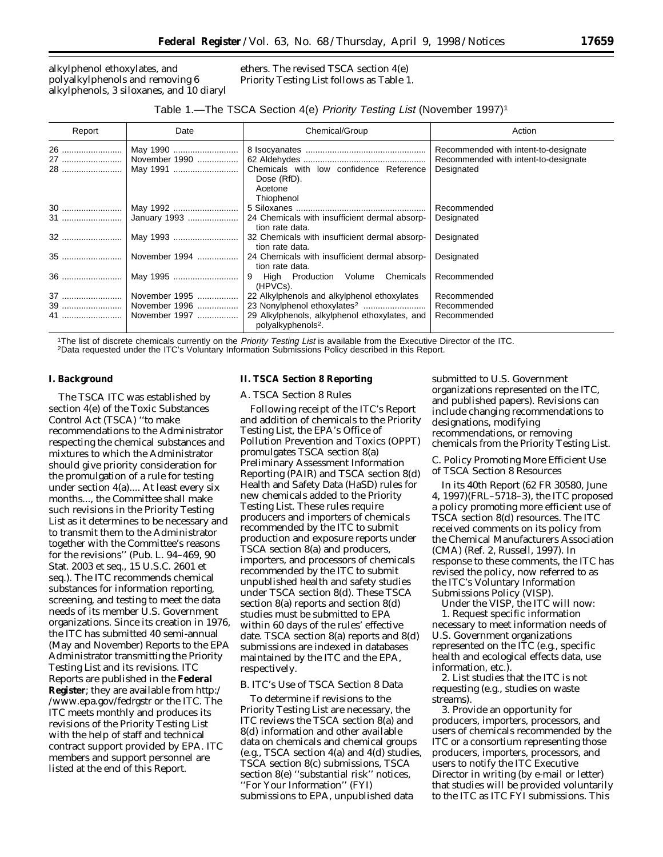alkylphenol ethoxylates, and polyalkylphenols and removing 6 alkylphenols, 3 siloxanes, and 10 diaryl ethers. The revised TSCA section 4(e) *Priority Testing List* follows as Table 1.

### Table 1.—The TSCA Section 4(e) Priority Testing List (November 1997)<sup>1</sup>

| Report    | Date          | Chemical/Group                                | Action                               |
|-----------|---------------|-----------------------------------------------|--------------------------------------|
| 26        | May 1990      |                                               | Recommended with intent-to-designate |
| 27        | November 1990 |                                               | Recommended with intent-to-designate |
| 28        | May 1991      | Chemicals with low confidence Reference       | Designated                           |
|           |               | Dose (RfD).                                   |                                      |
|           |               | Acetone                                       |                                      |
|           |               | Thiophenol                                    |                                      |
| <b>30</b> | May 1992      |                                               | Recommended                          |
| <b>31</b> | January 1993  | 24 Chemicals with insufficient dermal absorp- | Designated                           |
|           |               | tion rate data.                               |                                      |
| 32        | May 1993      | 32 Chemicals with insufficient dermal absorp- | Designated                           |
|           |               | tion rate data.                               |                                      |
| 35        | November 1994 | 24 Chemicals with insufficient dermal absorp- | Designated                           |
|           |               | tion rate data.                               |                                      |
| 36        | May 1995      | 9 High Production Volume Chemicals            | Recommended                          |
|           |               | (HPVCs).                                      |                                      |
|           | November 1995 | 22 Alkylphenols and alkylphenol ethoxylates   | Recommended                          |
|           |               |                                               | Recommended                          |
| 41        | November 1997 | 29 Alkylphenols, alkylphenol ethoxylates, and | Recommended                          |
|           |               | polyalkyphenols <sup>2</sup> .                |                                      |

<sup>1</sup>The list of discrete chemicals currently on the Priority Testing List is available from the Executive Director of the ITC.<br><sup>2</sup>Data requested under the ITC's Voluntary Information Submissions Policy described in this Rep

### **I. Background**

The TSCA ITC was established by section 4(e) of the Toxic Substances Control Act (TSCA) ''to make recommendations to the Administrator respecting the chemical substances and mixtures to which the Administrator should give priority consideration for the promulgation of a rule for testing under section 4(a).... At least every six months..., the Committee shall make such revisions in the *Priority Testing* List as it determines to be necessary and to transmit them to the Administrator together with the Committee's reasons for the revisions'' (Pub. L. 94–469, 90 Stat. 2003 *et seq*., 15 U.S.C. 2601 *et seq*.). The ITC recommends chemical substances for information reporting, screening, and testing to meet the data needs of its member U.S. Government organizations. Since its creation in 1976, the ITC has submitted 40 semi-annual (May and November) Reports to the EPA Administrator transmitting the *Priority Testing List* and its revisions. ITC Reports are published in the **Federal Register**; they are available from http:/ /www.epa.gov/fedrgstr or the ITC. The ITC meets monthly and produces its revisions of the *Priority Testing List* with the help of staff and technical contract support provided by EPA. ITC members and support personnel are listed at the end of this Report.

#### **II. TSCA Section 8 Reporting**

#### *A. TSCA Section 8 Rules*

Following receipt of the ITC's Report and addition of chemicals to the *Priority Testing List*, the EPA's Office of Pollution Prevention and Toxics (OPPT) promulgates TSCA section 8(a) Preliminary Assessment Information Reporting (PAIR) and TSCA section 8(d) Health and Safety Data (HaSD) rules for new chemicals added to the *Priority Testing List*. These rules require producers and importers of chemicals recommended by the ITC to submit production and exposure reports under TSCA section 8(a) and producers, importers, and processors of chemicals recommended by the ITC to submit unpublished health and safety studies under TSCA section 8(d). These TSCA section 8(a) reports and section 8(d) studies must be submitted to EPA within 60 days of the rules' effective date. TSCA section 8(a) reports and 8(d) submissions are indexed in databases maintained by the ITC and the EPA, respectively.

## *B. ITC's Use of TSCA Section 8 Data*

To determine if revisions to the *Priority Testing List* are necessary, the ITC reviews the TSCA section 8(a) and 8(d) information and other available data on chemicals and chemical groups (e.g., TSCA section 4(a) and 4(d) studies, TSCA section 8(c) submissions, TSCA section 8(e) ''substantial risk'' notices, ''For Your Information'' (FYI) submissions to EPA, unpublished data

submitted to U.S. Government organizations represented on the ITC, and published papers). Revisions can include changing recommendations to designations, modifying recommendations, or removing chemicals from the *Priority Testing List*.

### *C. Policy Promoting More Efficient Use of TSCA Section 8 Resources*

In its 40th Report (62 FR 30580, June 4, 1997)(FRL–5718–3), the ITC proposed a policy promoting more efficient use of TSCA section 8(d) resources. The ITC received comments on its policy from the Chemical Manufacturers Association (CMA) (Ref. 2, Russell, 1997). In response to these comments, the ITC has revised the policy, now referred to as the ITC's Voluntary Information Submissions Policy (VISP).

Under the VISP, the ITC will now: 1. Request specific information necessary to meet information needs of U.S. Government organizations represented on the ITC (e.g., specific health and ecological effects data, use information, etc.)

2. List studies that the ITC is not requesting (e.g., studies on waste streams).

3. Provide an opportunity for producers, importers, processors, and users of chemicals recommended by the ITC or a consortium representing those producers, importers, processors, and users to notify the ITC Executive Director in writing (by e-mail or letter) that studies will be provided voluntarily to the ITC as ITC FYI submissions. This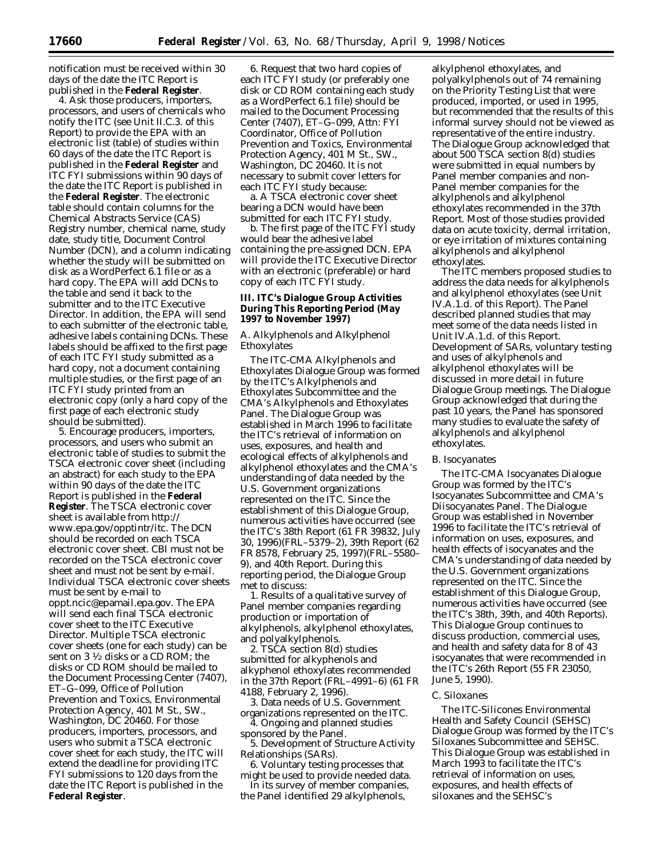notification must be received within 30 days of the date the ITC Report is published in the **Federal Register**.

4. Ask those producers, importers, processors, and users of chemicals who notify the ITC (see Unit II.C.3. of this Report) to provide the EPA with an electronic list (table) of studies within 60 days of the date the ITC Report is published in the **Federal Register** and ITC FYI submissions within 90 days of the date the ITC Report is published in the **Federal Register**. The electronic table should contain columns for the Chemical Abstracts Service (CAS) Registry number, chemical name, study date, study title, Document Control Number (DCN), and a column indicating whether the study will be submitted on disk as a WordPerfect 6.1 file or as a hard copy. The EPA will add DCNs to the table and send it back to the submitter and to the ITC Executive Director. In addition, the EPA will send to each submitter of the electronic table, adhesive labels containing DCNs. These labels should be affixed to the first page of each ITC FYI study submitted as a hard copy, not a document containing multiple studies, or the first page of an ITC FYI study printed from an electronic copy (only a hard copy of the first page of each electronic study should be submitted).

5. Encourage producers, importers, processors, and users who submit an electronic table of studies to submit the TSCA electronic cover sheet (including an abstract) for each study to the EPA within 90 days of the date the ITC Report is published in the **Federal Register**. The TSCA electronic cover sheet is available from http:// www.epa.gov/opptintr/itc. The DCN should be recorded on each TSCA electronic cover sheet. CBI must not be recorded on the TSCA electronic cover sheet and must not be sent by e-mail. Individual TSCA electronic cover sheets must be sent by e-mail to oppt.ncic@epamail.epa.gov. The EPA will send each final TSCA electronic cover sheet to the ITC Executive Director. Multiple TSCA electronic cover sheets (one for each study) can be sent on 3 1⁄2 disks or a CD ROM; the disks or CD ROM should be mailed to the Document Processing Center (7407), ET–G–099, Office of Pollution Prevention and Toxics, Environmental Protection Agency, 401 M St., SW., Washington, DC 20460. For those producers, importers, processors, and users who submit a TSCA electronic cover sheet for each study, the ITC will extend the deadline for providing ITC FYI submissions to 120 days from the date the ITC Report is published in the **Federal Register**.

6. Request that two hard copies of each ITC FYI study (or preferably one disk or CD ROM containing each study as a WordPerfect 6.1 file) should be mailed to the Document Processing Center (7407), ET–G–099, Attn: FYI Coordinator, Office of Pollution Prevention and Toxics, Environmental Protection Agency, 401 M St., SW., Washington, DC 20460. It is not necessary to submit cover letters for each ITC FYI study because:

a. A TSCA electronic cover sheet bearing a DCN would have been submitted for each ITC FYI study.

b. The first page of the ITC FYI study would bear the adhesive label containing the pre-assigned DCN. EPA will provide the ITC Executive Director with an electronic (preferable) or hard copy of each ITC FYI study.

## **III. ITC's Dialogue Group Activities During This Reporting Period (May 1997 to November 1997)**

# *A. Alkylphenols and Alkylphenol Ethoxylates*

The ITC-CMA Alkylphenols and Ethoxylates Dialogue Group was formed by the ITC's Alkylphenols and Ethoxylates Subcommittee and the CMA's Alkylphenols and Ethoxylates Panel. The Dialogue Group was established in March 1996 to facilitate the ITC's retrieval of information on uses, exposures, and health and ecological effects of alkylphenols and alkylphenol ethoxylates and the CMA's understanding of data needed by the U.S. Government organizations represented on the ITC. Since the establishment of this Dialogue Group, numerous activities have occurred (see the ITC's 38th Report (61 FR 39832, July 30, 1996)(FRL–5379–2), 39th Report (62 FR 8578, February 25, 1997)(FRL–5580– 9), and 40th Report. During this reporting period, the Dialogue Group met to discuss:

1. Results of a qualitative survey of Panel member companies regarding production or importation of alkylphenols, alkylphenol ethoxylates, and polyalkylphenols.

2. TSCA section 8(d) studies submitted for alkyphenols and alkyphenol ethoxylates recommended in the 37th Report (FRL–4991–6) (61 FR 4188, February 2, 1996).

3. Data needs of U.S. Government organizations represented on the ITC.

4. Ongoing and planned studies sponsored by the Panel.

5. Development of Structure Activity Relationships (SARs).

6. Voluntary testing processes that might be used to provide needed data.

In its survey of member companies, the Panel identified 29 alkylphenols,

alkylphenol ethoxylates, and polyalkylphenols out of 74 remaining on the *Priority Testing List* that were produced, imported, or used in 1995, but recommended that the results of this informal survey should not be viewed as representative of the entire industry. The Dialogue Group acknowledged that about 500 TSCA section 8(d) studies were submitted in equal numbers by Panel member companies and non-Panel member companies for the alkylphenols and alkylphenol ethoxylates recommended in the 37th Report. Most of those studies provided data on acute toxicity, dermal irritation, or eye irritation of mixtures containing alkylphenols and alkylphenol ethoxylates.

The ITC members proposed studies to address the data needs for alkylphenols and alkylphenol ethoxylates (see Unit IV.A.1.d. of this Report). The Panel described planned studies that may meet some of the data needs listed in Unit IV.A.1.d. of this Report. Development of SARs, voluntary testing and uses of alkylphenols and alkylphenol ethoxylates will be discussed in more detail in future Dialogue Group meetings. The Dialogue Group acknowledged that during the past 10 years, the Panel has sponsored many studies to evaluate the safety of alkylphenols and alkylphenol ethoxylates.

#### *B. Isocyanates*

The ITC-CMA Isocyanates Dialogue Group was formed by the ITC's Isocyanates Subcommittee and CMA's Diisocyanates Panel. The Dialogue Group was established in November 1996 to facilitate the ITC's retrieval of information on uses, exposures, and health effects of isocyanates and the CMA's understanding of data needed by the U.S. Government organizations represented on the ITC. Since the establishment of this Dialogue Group, numerous activities have occurred (see the ITC's 38th, 39th, and 40th Reports). This Dialogue Group continues to discuss production, commercial uses, and health and safety data for 8 of 43 isocyanates that were recommended in the ITC's 26th Report (55 FR 23050, June 5, 1990).

## *C. Siloxanes*

The ITC-Silicones Environmental Health and Safety Council (SEHSC) Dialogue Group was formed by the ITC's Siloxanes Subcommittee and SEHSC. This Dialogue Group was established in March 1993 to facilitate the ITC's retrieval of information on uses, exposures, and health effects of siloxanes and the SEHSC's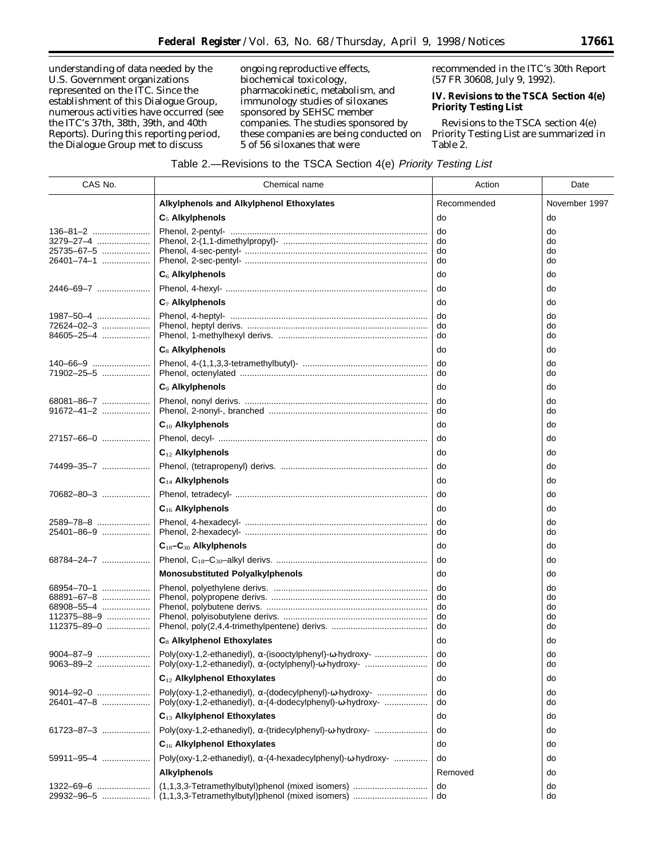understanding of data needed by the U.S. Government organizations represented on the ITC. Since the establishment of this Dialogue Group, numerous activities have occurred (see the ITC's 37th, 38th, 39th, and 40th Reports). During this reporting period, the Dialogue Group met to discuss

ongoing reproductive effects, biochemical toxicology, pharmacokinetic, metabolism, and immunology studies of siloxanes sponsored by SEHSC member companies. The studies sponsored by these companies are being conducted on 5 of 56 siloxanes that were

recommended in the ITC's 30th Report (57 FR 30608, July 9, 1992).

# **IV. Revisions to the TSCA Section 4(e) Priority Testing List**

Revisions to the TSCA section 4(e) *Priority Testing List* are summarized in Table 2.

# Table 2.—Revisions to the TSCA Section 4(e) Priority Testing List

| CAS No.                                           | Chemical name                                                                                                                                        | Action               | Date                 |
|---------------------------------------------------|------------------------------------------------------------------------------------------------------------------------------------------------------|----------------------|----------------------|
|                                                   | Alkylphenols and Alkylphenol Ethoxylates                                                                                                             | Recommended          | November 1997        |
|                                                   | $C_5$ Alkylphenols                                                                                                                                   | do                   | do                   |
| 136-81-2<br>3279–27–4<br>25735-67-5<br>26401-74-1 |                                                                                                                                                      | do<br>do<br>do<br>do | do<br>do<br>do<br>do |
|                                                   | $C6$ Alkylphenols                                                                                                                                    | do                   | do                   |
| 2446-69-7                                         |                                                                                                                                                      | do                   | do                   |
|                                                   | $C_7$ Alkylphenols                                                                                                                                   | do                   | do                   |
| 1987-50-4<br>72624-02-3<br>84605-25-4             |                                                                                                                                                      | do<br>do<br>do       | do<br>do<br>do       |
|                                                   | $C_8$ Alkylphenols                                                                                                                                   | do                   | do                   |
| 140-66-9<br>71902-25-5                            |                                                                                                                                                      | do<br>do             | do<br>do             |
|                                                   | C <sub>9</sub> Alkylphenols                                                                                                                          | do                   | do                   |
| 68081-86-7<br>$91672 - 41 - 2$                    |                                                                                                                                                      | do<br>do             | do<br>do             |
|                                                   | $C_{10}$ Alkylphenols                                                                                                                                | do                   | do                   |
| 27157-66-0                                        |                                                                                                                                                      | do                   | do                   |
|                                                   | $C_{12}$ Alkylphenols                                                                                                                                | do                   | do                   |
| 74499-35-7                                        |                                                                                                                                                      | do                   | do                   |
|                                                   | $C_{14}$ Alkylphenols                                                                                                                                | do                   | do                   |
| 70682-80-3                                        |                                                                                                                                                      | do                   | do                   |
|                                                   | $C_{16}$ Alkylphenols                                                                                                                                | do                   | do                   |
| 2589-78-8<br>25401-86-9                           |                                                                                                                                                      | do<br>do             | do<br>do             |
|                                                   | $C_{18}$ - $C_{30}$ Alkylphenols                                                                                                                     | do                   | do                   |
| 68784-24-7                                        |                                                                                                                                                      | do                   | do                   |
|                                                   | <b>Monosubstituted Polyalkylphenols</b>                                                                                                              | do                   | do                   |
| 68954-70-1                                        |                                                                                                                                                      | do                   | do                   |
| 68891-67-8<br>68908-55-4                          |                                                                                                                                                      | do<br>do             | do<br>do             |
| 112375-88-9                                       |                                                                                                                                                      | do                   | do                   |
| 112375-89-0                                       |                                                                                                                                                      | do                   | do                   |
|                                                   | C <sub>8</sub> Alkylphenol Ethoxylates                                                                                                               | do                   | do                   |
| $9004 - 87 - 9$<br>9063-89-2                      | Poly(oxy-1,2-ethanediyl), $\alpha$ -(isooctylphenyl)- $\omega$ -hydroxy-<br>Poly(oxy-1,2-ethanediyl), α-(octylphenyl)-ω-hydroxy-                     | do                   | do<br>aο             |
|                                                   | $C_{12}$ Alkylphenol Ethoxylates                                                                                                                     | do                   | do                   |
| 9014-92-0<br>26401-47-8                           | Poly(oxy-1,2-ethanediyl), $\alpha$ -(dodecylphenyl)- $\omega$ -hydroxy-<br>Poly(oxy-1,2-ethanediyl), $\alpha$ -(4-dodecylphenyl)- $\omega$ -hydroxy- | do<br>do             | do<br>do             |
|                                                   | C <sub>13</sub> Alkylphenol Ethoxylates                                                                                                              | do                   | do                   |
| 61723-87-3                                        | Poly(oxy-1,2-ethanediyl), $\alpha$ -(tridecylphenyl)- $\omega$ -hydroxy-                                                                             | do                   | do                   |
|                                                   | C <sub>16</sub> Alkylphenol Ethoxylates                                                                                                              | do                   | do                   |
| 59911-95-4                                        | Poly(oxy-1,2-ethanediyl), $\alpha$ -(4-hexadecylphenyl)- $\omega$ -hydroxy-                                                                          | do                   | do                   |
|                                                   | <b>Alkylphenols</b>                                                                                                                                  | Removed              | do                   |
| 1322-69-6<br>29932-96-5                           |                                                                                                                                                      | do                   | do<br>do             |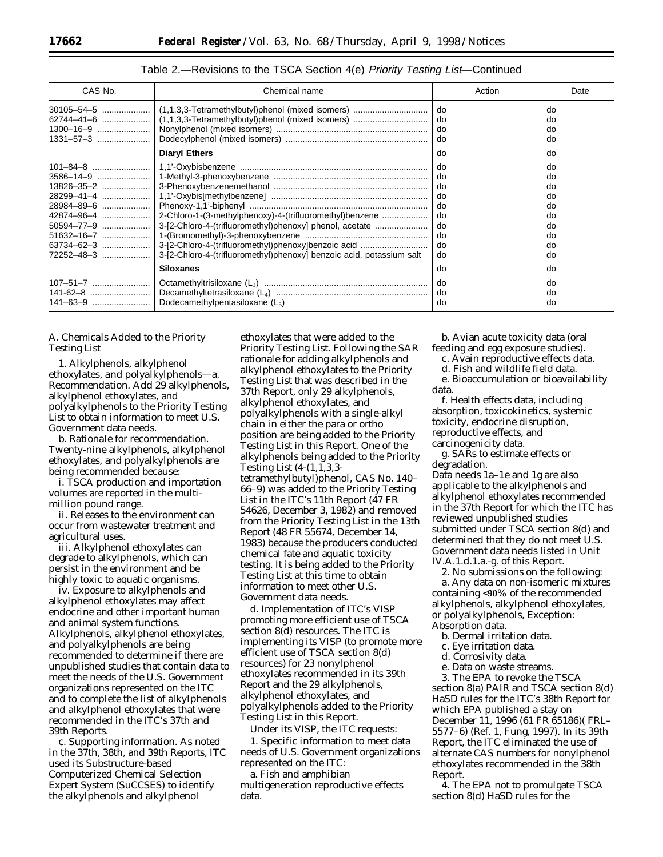| CAS No.                                                            | Chemical name                                                                                                                                                                                                                                     | Action                                                   | Date                                                     |
|--------------------------------------------------------------------|---------------------------------------------------------------------------------------------------------------------------------------------------------------------------------------------------------------------------------------------------|----------------------------------------------------------|----------------------------------------------------------|
| 1300-16-9                                                          | (1,1,3,3-Tetramethylbutyl)phenol (mixed isomers)<br><b>Diaryl Ethers</b>                                                                                                                                                                          | do<br>do<br>do<br>do<br>do                               | do<br>do<br>do<br>do<br>do                               |
| 28984-89-6<br>42874-96-4<br>50594-77-9<br>63734-62-3<br>72252-48-3 | 2-Chloro-1-(3-methylphenoxy)-4-(trifluoromethyl)benzene<br>3-[2-Chloro-4-(trifluoromethyl)phenoxy] phenol, acetate<br>3-[2-Chloro-4-(trifluoromethyl)phenoxy]benzoic acid<br>3-[2-Chloro-4-(trifluoromethyl)phenoxy] benzoic acid, potassium salt | do<br>do<br>do<br>do<br>do<br>do<br>do<br>do<br>do<br>do | do<br>do<br>do<br>do<br>do<br>do<br>do<br>do<br>do<br>do |
| 107-51-7                                                           | <b>Siloxanes</b>                                                                                                                                                                                                                                  | do<br>do                                                 | do<br>do                                                 |
| 141-62-8                                                           | Dodecamethylpentasiloxane $(L_5)$                                                                                                                                                                                                                 | do<br>do                                                 | do<br>do                                                 |

# *A. Chemicals Added to the Priority Testing List*

1. *Alkylphenols, alkylphenol ethoxylates, and polyalkylphenols*—a. *Recommendation*. Add 29 alkylphenols, alkylphenol ethoxylates, and polyalkylphenols to the *Priority Testing List* to obtain information to meet U.S. Government data needs.

b. *Rationale for recommendation*. Twenty-nine alkylphenols, alkylphenol ethoxylates, and polyalkylphenols are being recommended because:

i. TSCA production and importation volumes are reported in the multimillion pound range.

ii. Releases to the environment can occur from wastewater treatment and agricultural uses.

iii. Alkylphenol ethoxylates can degrade to alkylphenols, which can persist in the environment and be highly toxic to aquatic organisms.

iv. Exposure to alkylphenols and alkylphenol ethoxylates may affect endocrine and other important human and animal system functions. Alkylphenols, alkylphenol ethoxylates, and polyalkylphenols are being recommended to determine if there are unpublished studies that contain data to meet the needs of the U.S. Government organizations represented on the ITC and to complete the list of alkylphenols and alkylphenol ethoxylates that were recommended in the ITC's 37th and 39th Reports.

c. *Supporting information*. As noted in the 37th, 38th, and 39th Reports, ITC used its Substructure-based Computerized Chemical Selection Expert System (SuCCSES) to identify the alkylphenols and alkylphenol

ethoxylates that were added to the *Priority Testing List*. Following the SAR rationale for adding alkylphenols and alkylphenol ethoxylates to the *Priority Testing List* that was described in the 37th Report, only 29 alkylphenols, alkylphenol ethoxylates, and polyalkylphenols with a single-alkyl chain in either the para or ortho position are being added to the *Priority Testing List* in this Report. One of the alkylphenols being added to the *Priority Testing List* (4-(1,1,3,3 tetramethylbutyl)phenol, CAS No. 140– 66–9) was added to the *Priority Testing* List in the ITC's 11th Report (47 FR 54626, December 3, 1982) and removed from the *Priority Testing List* in the 13th Report (48 FR 55674, December 14, 1983) because the producers conducted chemical fate and aquatic toxicity testing. It is being added to the *Priority Testing List* at this time to obtain information to meet other U.S. Government data needs.

d. *Implementation of ITC's VISP promoting more efficient use of TSCA section 8(d) resources.* The ITC is implementing its VISP (to promote more efficient use of TSCA section 8(d) resources) for 23 nonylphenol ethoxylates recommended in its 39th Report and the 29 alkylphenols, alkylphenol ethoxylates, and polyalkylphenols added to the *Priority Testing List* in this Report.

Under its VISP, the ITC requests: 1. Specific information to meet data needs of U.S. Government organizations represented on the ITC:

a. Fish and amphibian multigeneration reproductive effects data.

b. Avian acute toxicity data (oral feeding and egg exposure studies).

c. Avain reproductive effects data.

d. Fish and wildlife field data.

e. Bioaccumulation or bioavailability data.

f. Health effects data, including absorption, toxicokinetics, systemic toxicity, endocrine disruption, reproductive effects, and carcinogenicity data.

g. SARs to estimate effects or degradation.

Data needs 1a–1e and 1g are also applicable to the alkylphenols and alkylphenol ethoxylates recommended in the 37th Report for which the ITC has reviewed unpublished studies submitted under TSCA section 8(d) and determined that they do not meet U.S. Government data needs listed in Unit IV.A.1.d.1.a.-g. of this Report.

2. No submissions on the following:

a. Any data on non-isomeric mixtures containing <**90**% of the recommended alkylphenols, alkylphenol ethoxylates, or polyalkylphenols, *Exception*: Absorption data.

- b. Dermal irritation data.
- c. Eye irritation data.
- d. Corrosivity data.
- e. Data on waste streams.

3. The EPA to revoke the TSCA section 8(a) PAIR and TSCA section 8(d) HaSD rules for the ITC's 38th Report for which EPA published a stay on December 11, 1996 (61 FR 65186)( FRL– 5577–6) (Ref. 1, Fung, 1997). In its 39th Report, the ITC eliminated the use of alternate CAS numbers for nonylphenol ethoxylates recommended in the 38th Report.

4. The EPA not to promulgate TSCA section 8(d) HaSD rules for the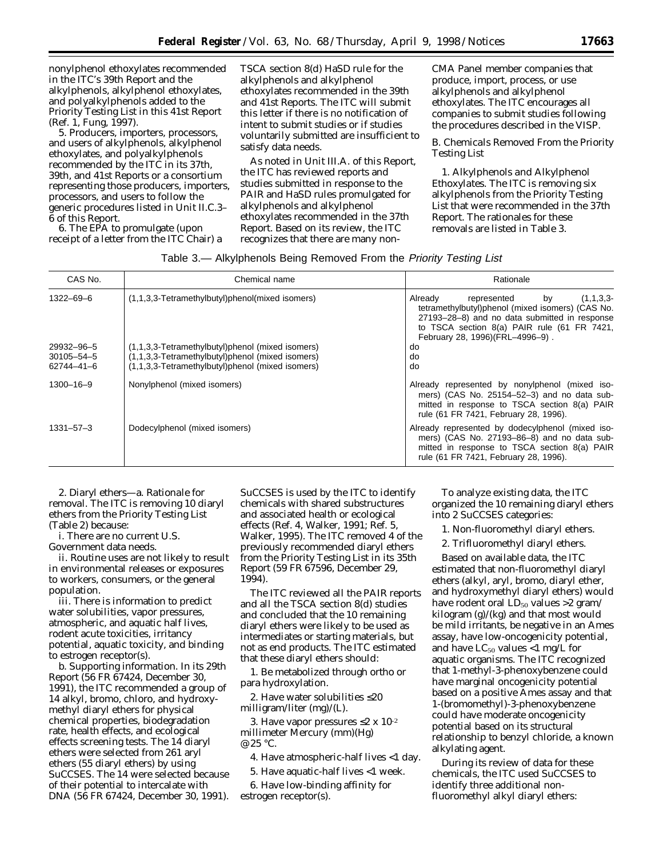nonylphenol ethoxylates recommended in the ITC's 39th Report and the alkylphenols, alkylphenol ethoxylates, and polyalkylphenols added to the *Priority Testing List* in this 41st Report (Ref. 1, Fung, 1997).

5. Producers, importers, processors, and users of alkylphenols, alkylphenol ethoxylates, and polyalkylphenols recommended by the ITC in its 37th, 39th, and 41st Reports or a consortium representing those producers, importers, processors, and users to follow the generic procedures listed in Unit II.C.3– 6 of this Report.

6. The EPA to promulgate (upon receipt of a letter from the ITC Chair) a TSCA section 8(d) HaSD rule for the alkylphenols and alkylphenol ethoxylates recommended in the 39th and 41st Reports. The ITC will submit this letter if there is no notification of intent to submit studies or if studies voluntarily submitted are insufficient to satisfy data needs.

As noted in Unit III.A. of this Report, the ITC has reviewed reports and studies submitted in response to the PAIR and HaSD rules promulgated for alkylphenols and alkylphenol ethoxylates recommended in the 37th Report. Based on its review, the ITC recognizes that there are many nonCMA Panel member companies that produce, import, process, or use alkylphenols and alkylphenol ethoxylates. The ITC encourages all companies to submit studies following the procedures described in the VISP.

*B. Chemicals Removed From the Priority Testing List*

1. *Alkylphenols and Alkylphenol Ethoxylates*. The ITC is removing six alkylphenols from the *Priority Testing List* that were recommended in the 37th Report. The rationales for these removals are listed in Table 3.

| Table 3.- Alkylphenols Being Removed From the Priority Testing List |  |  |  |
|---------------------------------------------------------------------|--|--|--|
|                                                                     |  |  |  |

| CAS No.                                      | Chemical name                                                                                                                                            | Rationale                                                                                                                                                                                                                        |
|----------------------------------------------|----------------------------------------------------------------------------------------------------------------------------------------------------------|----------------------------------------------------------------------------------------------------------------------------------------------------------------------------------------------------------------------------------|
| 1322-69-6                                    | (1,1,3,3-Tetramethylbutyl)phenol(mixed isomers)                                                                                                          | Already<br>(1,1,3,3)<br>represented<br>by<br>tetramethylbutyl)phenol (mixed isomers) (CAS No.<br>27193-28-8) and no data submitted in response<br>to TSCA section 8(a) PAIR rule (61 FR 7421,<br>February 28, 1996)(FRL-4996-9). |
| 29932-96-5<br>$30105 - 54 - 5$<br>62744-41-6 | (1,1,3,3-Tetramethylbutyl)phenol (mixed isomers)<br>(1,1,3,3-Tetramethylbutyl)phenol (mixed isomers)<br>(1,1,3,3-Tetramethylbutyl)phenol (mixed isomers) | do<br>do<br>do                                                                                                                                                                                                                   |
| $1300 - 16 - 9$                              | Nonylphenol (mixed isomers)                                                                                                                              | Already represented by nonylphenol (mixed iso-<br>mers) (CAS No. 25154-52-3) and no data sub-<br>mitted in response to TSCA section 8(a) PAIR<br>rule (61 FR 7421, February 28, 1996).                                           |
| $1331 - 57 - 3$                              | Dodecylphenol (mixed isomers)                                                                                                                            | Already represented by dodecylphenol (mixed iso-<br>mers) (CAS No. 27193-86-8) and no data sub-<br>mitted in response to TSCA section 8(a) PAIR<br>rule (61 FR 7421, February 28, 1996).                                         |

2. *Diaryl ethers*—a. *Rationale for removal*. The ITC is removing 10 diaryl ethers from the *Priority Testing List* (Table 2) because:

i. There are no current U.S. Government data needs.

ii. Routine uses are not likely to result in environmental releases or exposures to workers, consumers, or the general population.

iii. There is information to predict water solubilities, vapor pressures, atmospheric, and aquatic half lives, rodent acute toxicities, irritancy potential, aquatic toxicity, and binding to estrogen receptor(s).

b. *Supporting information*. In its 29th Report (56 FR 67424, December 30, 1991), the ITC recommended a group of 14 alkyl, bromo, chloro, and hydroxymethyl diaryl ethers for physical chemical properties, biodegradation rate, health effects, and ecological effects screening tests. The 14 diaryl ethers were selected from 261 aryl ethers (55 diaryl ethers) by using SuCCSES. The 14 were selected because of their potential to intercalate with DNA (56 FR 67424, December 30, 1991).

SuCCSES is used by the ITC to identify chemicals with shared substructures and associated health or ecological effects (Ref. 4, Walker, 1991; Ref. 5, Walker, 1995). The ITC removed 4 of the previously recommended diaryl ethers from the *Priority Testing List* in its 35th Report (59 FR 67596, December 29, 1994).

The ITC reviewed all the PAIR reports and all the TSCA section 8(d) studies and concluded that the 10 remaining diaryl ethers were likely to be used as intermediates or starting materials, but not as end products. The ITC estimated that these diaryl ethers should:

1. Be metabolized through ortho or para hydroxylation.

2. Have water solubilities ≤20 milligram/liter (mg)/(L).

3. Have vapor pressures ≤2 x 10<sup>-2</sup> millimeter Mercury (mm)(Hg) @ 25 °C.

4. Have atmospheric-half lives <1 day.

5. Have aquatic-half lives <1 week.

6. Have low-binding affinity for estrogen receptor(s).

To analyze existing data, the ITC organized the 10 remaining diaryl ethers into 2 SuCCSES categories:

1. Non-fluoromethyl diaryl ethers.

2. Trifluoromethyl diaryl ethers.

Based on available data, the ITC estimated that non-fluoromethyl diaryl ethers (alkyl, aryl, bromo, diaryl ether, and hydroxymethyl diaryl ethers) would have rodent oral  $LD_{50}$  values >2 gram/ kilogram (g)/(kg) and that most would be mild irritants, be negative in an Ames assay, have low-oncogenicity potential, and have  $LC_{50}$  values <1 mg/L for aquatic organisms. The ITC recognized that 1-methyl-3-phenoxybenzene could have marginal oncogenicity potential based on a positive Ames assay and that 1-(bromomethyl)-3-phenoxybenzene could have moderate oncogenicity potential based on its structural relationship to benzyl chloride, a known alkylating agent.

During its review of data for these chemicals, the ITC used SuCCSES to identify three additional nonfluoromethyl alkyl diaryl ethers: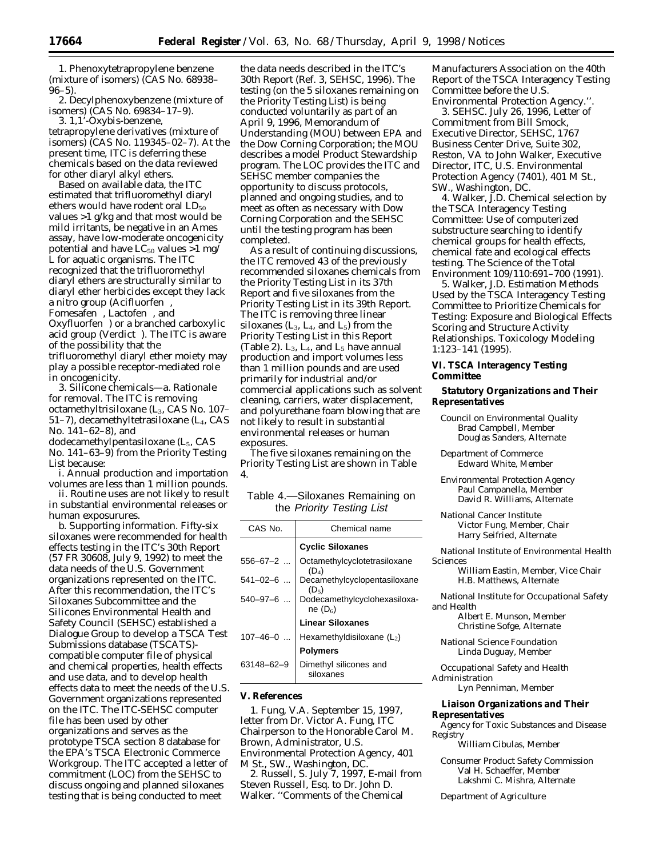1. Phenoxytetrapropylene benzene (mixture of isomers) (CAS No. 68938– 96–5).

2. Decylphenoxybenzene (mixture of isomers) (CAS No. 69834–17–9).

3. 1,1'-Oxybis-benzene, tetrapropylene derivatives (mixture of isomers) (CAS No. 119345–02–7). At the present time, ITC is deferring these chemicals based on the data reviewed for other diaryl alkyl ethers.

Based on available data, the ITC estimated that trifluoromethyl diaryl ethers would have rodent oral  $LD_{50}$ values >1 g/kg and that most would be mild irritants, be negative in an Ames assay, have low-moderate oncogenicity potential and have  $LC_{50}$  values >1 mg/ L for aquatic organisms. The ITC recognized that the trifluoromethyl diaryl ethers are structurally similar to diaryl ether herbicides except they lack a nitro group (Acifluorfen<sup>®</sup>, Fomesafen®, Lactofen®, and Oxyfluorfen<sup>®</sup>) or a branched carboxylic acid group (Verdict®). The ITC is aware of the possibility that the trifluoromethyl diaryl ether moiety may play a possible receptor-mediated role in oncogenicity.

3. *Silicone chemicals*—a. *Rationale for removal*. The ITC is removing octamethyltrisiloxane (L<sub>3</sub>, CAS No. 107– 51–7), decamethyltetrasiloxane (L4, CAS No. 141–62–8), and

dodecamethylpentasiloxane  $(L_5, CAS)$ No. 141–63–9) from the *Priority Testing List* because:

i. Annual production and importation volumes are less than 1 million pounds.

ii. Routine uses are not likely to result in substantial environmental releases or human exposurures.

b. *Supporting information*. Fifty-six siloxanes were recommended for health effects testing in the ITC's 30th Report (57 FR 30608, July 9, 1992) to meet the data needs of the U.S. Government organizations represented on the ITC. After this recommendation, the ITC's Siloxanes Subcommittee and the Silicones Environmental Health and Safety Council (SEHSC) established a Dialogue Group to develop a TSCA Test Submissions database (TSCATS) compatible computer file of physical and chemical properties, health effects and use data, and to develop health effects data to meet the needs of the U.S. Government organizations represented on the ITC. The ITC-SEHSC computer file has been used by other organizations and serves as the prototype TSCA section 8 database for the EPA's TSCA Electronic Commerce Workgroup. The ITC accepted a letter of commitment (LOC) from the SEHSC to discuss ongoing and planned siloxanes testing that is being conducted to meet

the data needs described in the ITC's 30th Report (Ref. 3, SEHSC, 1996). The testing (on the 5 siloxanes remaining on the *Priority Testing List*) is being conducted voluntarily as part of an April 9, 1996, Memorandum of Understanding (MOU) between EPA and the Dow Corning Corporation; the MOU describes a model Product Stewardship program. The LOC provides the ITC and SEHSC member companies the opportunity to discuss protocols, planned and ongoing studies, and to meet as often as necessary with Dow Corning Corporation and the SEHSC until the testing program has been completed.

As a result of continuing discussions, the ITC removed 43 of the previously recommended siloxanes chemicals from the *Priority Testing List* in its 37th Report and five siloxanes from the *Priority Testing List* in its 39th Report. The ITC is removing three linear siloxanes  $(L_3, L_4, and L_5)$  from the *Priority Testing List* in this Report (Table 2).  $L_3$ ,  $L_4$ , and  $L_5$  have annual production and import volumes less than 1 million pounds and are used primarily for industrial and/or commercial applications such as solvent cleaning, carriers, water displacement, and polyurethane foam blowing that are not likely to result in substantial environmental releases or human exposures.

The five siloxanes remaining on the *Priority Testing List* are shown in Table 4.

| Table 4.-Siloxanes Remaining on |  |
|---------------------------------|--|
| the Priority Testing List       |  |

| CAS No.        | Chemical name                              |
|----------------|--------------------------------------------|
|                | <b>Cyclic Siloxanes</b>                    |
| $556 - 67 - 2$ | Octamethylcyclotetrasiloxane<br>$(D_4)$    |
| $541 - 02 - 6$ | Decamethylcyclopentasiloxane<br>$(D_5)$    |
| $540 - 97 - 6$ | Dodecamethylcyclohexasiloxa-<br>ne $(D_6)$ |
|                | <b>Linear Siloxanes</b>                    |
| $107 - 46 - 0$ | Hexamethyldisiloxane (L2)                  |
|                | <b>Polymers</b>                            |
| 63148-62-9     | Dimethyl silicones and<br>siloxanes        |
|                |                                            |

#### **V. References**

1. Fung, V.A. September 15, 1997, letter from Dr. Victor A. Fung, ITC Chairperson to the Honorable Carol M. Brown, Administrator, U.S. Environmental Protection Agency, 401 M St., SW., Washington, DC.

2. Russell, S. July 7, 1997, E-mail from Steven Russell, Esq. to Dr. John D. Walker. ''Comments of the Chemical

Manufacturers Association on the 40th Report of the TSCA Interagency Testing Committee before the U.S. Environmental Protection Agency.''.

3. SEHSC. July 26, 1996, Letter of Commitment from Bill Smock, Executive Director, SEHSC, 1767 Business Center Drive, Suite 302, Reston, VA to John Walker, Executive Director, ITC, U.S. Environmental Protection Agency (7401), 401 M St., SW., Washington, DC.

4. Walker, J.D. Chemical selection by the TSCA Interagency Testing Committee: Use of computerized substructure searching to identify chemical groups for health effects, chemical fate and ecological effects testing. The Science of the Total Environment 109/110:691–700 (1991).

5. Walker, J.D. Estimation Methods Used by the TSCA Interagency Testing Committee to Prioritize Chemicals for Testing: Exposure and Biological Effects Scoring and Structure Activity Relationships. Toxicology Modeling 1:123–141 (1995).

## **VI. TSCA Interagency Testing Committee**

## **Statutory Organizations and Their Representatives**

- *Council on Environmental Quality* Brad Campbell, Member Douglas Sanders, Alternate
- *Department of Commerce* Edward White, Member

*Environmental Protection Agency* Paul Campanella, Member David R. Williams, Alternate

*National Cancer Institute* Victor Fung, Member, Chair Harry Seifried, Alternate

*National Institute of Environmental Health Sciences*

William Eastin, Member, Vice Chair H.B. Matthews, Alternate

*National Institute for Occupational Safety and Health*

Albert E. Munson, Member Christine Sofge, Alternate

*National Science Foundation* Linda Duguay, Member

*Occupational Safety and Health Administration*

Lyn Penniman, Member

#### **Liaison Organizations and Their Representatives**

*Agency for Toxic Substances and Disease Registry*

William Cibulas, Member

*Consumer Product Safety Commission* Val H. Schaeffer, Member Lakshmi C. Mishra, Alternate

*Department of Agriculture*